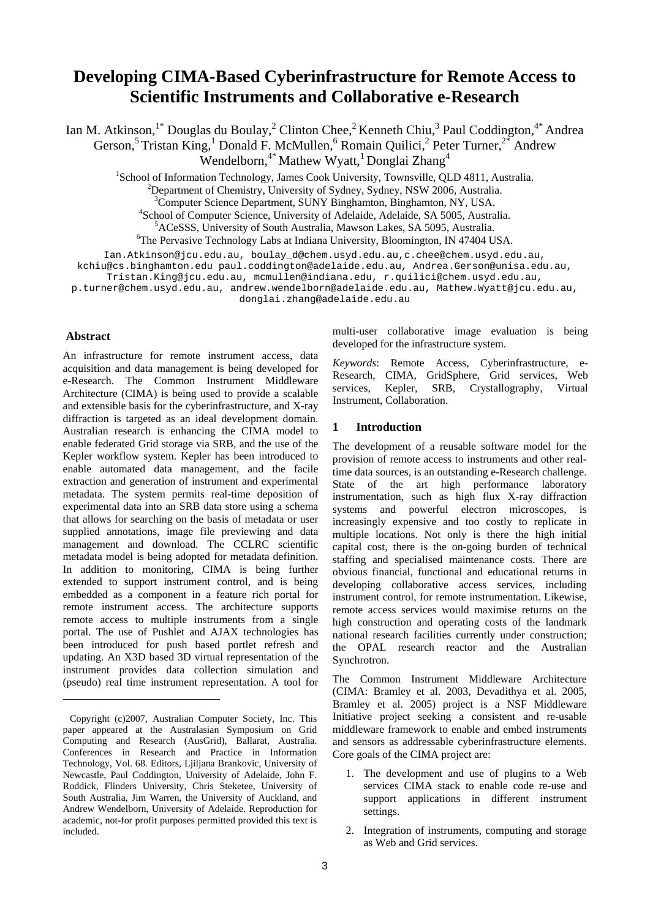# **Developing CIMA-Based Cyberinfrastructure for Remote Access to Scientific Instruments and Collaborative e-Research**

Ian M. Atkinson,<sup>1\*</sup> Douglas du Boulay,<sup>2</sup> Clinton Chee,<sup>2</sup> Kenneth Chiu,<sup>3</sup> Paul Coddington,<sup>4\*</sup> Andrea

Gerson,<sup>5</sup> Tristan King,<sup>1</sup> Donald F. McMullen,<sup>6</sup> Romain Quilici,<sup>2</sup> Peter Turner,<sup>2\*</sup> Andrew

Wendelborn,<sup>4\*</sup> Mathew Wyatt,<sup>1</sup> Donglai Zhang<sup>4</sup>

<sup>1</sup>School of Information Technology, James Cook University, Townsville, QLD 4811, Australia.<br><sup>2</sup>Department of Chemistry, University of Sydney, Sydney, NSW 2006, Australia.

<sup>2</sup>Department of Chemistry, University of Sydney, Sydney, NSW 2006, Australia.

<sup>3</sup>Computer Science Department, SUNY Binghamton, Binghamton, NY, USA.<br><sup>4</sup>School of Computer Science, University of Adelaide, Adelaide, SA 5005, Austral

<sup>4</sup>School of Computer Science, University of Adelaide, Adelaide, SA 5005, Australia.

<sup>6</sup>The Pervasive Technology Labs at Indiana University, Bloomington, IN 47404 USA.

Ian.Atkinson@jcu.edu.au, boulay\_d@chem.usyd.edu.au,c.chee@chem.usyd.edu.au,

kchiu@cs.binghamton.edu paul.coddington@adelaide.edu.au, Andrea.Gerson@unisa.edu.au,

Tristan.King@jcu.edu.au, mcmullen@indiana.edu, r.quilici@chem.usyd.edu.au,

p.turner@chem.usyd.edu.au, andrew.wendelborn@adelaide.edu.au, Mathew.Wyatt@jcu.edu.au,

donglai.zhang@adelaide.edu.au

# **Abstract**

l

An infrastructure for remote instrument access, data acquisition and data management is being developed for e-Research. The Common Instrument Middleware Architecture (CIMA) is being used to provide a scalable and extensible basis for the cyberinfrastructure, and X-ray diffraction is targeted as an ideal development domain. Australian research is enhancing the CIMA model to enable federated Grid storage via SRB, and the use of the Kepler workflow system. Kepler has been introduced to enable automated data management, and the facile extraction and generation of instrument and experimental metadata. The system permits real-time deposition of experimental data into an SRB data store using a schema that allows for searching on the basis of metadata or user supplied annotations, image file previewing and data management and download. The CCLRC scientific metadata model is being adopted for metadata definition. In addition to monitoring, CIMA is being further extended to support instrument control, and is being embedded as a component in a feature rich portal for remote instrument access. The architecture supports remote access to multiple instruments from a single portal. The use of Pushlet and AJAX technologies has been introduced for push based portlet refresh and updating. An X3D based 3D virtual representation of the instrument provides data collection simulation and (pseudo) real time instrument representation. A tool for multi-user collaborative image evaluation is being developed for the infrastructure system.

*Keywords*: Remote Access, Cyberinfrastructure, e-Research, CIMA, GridSphere, Grid services, Web services, Kepler, SRB, Crystallography, Virtual Instrument, Collaboration.

# **1 Introduction**

The development of a reusable software model for the provision of remote access to instruments and other realtime data sources, is an outstanding e-Research challenge. State of the art high performance laboratory instrumentation, such as high flux X-ray diffraction systems and powerful electron microscopes, is increasingly expensive and too costly to replicate in multiple locations. Not only is there the high initial capital cost, there is the on-going burden of technical staffing and specialised maintenance costs. There are obvious financial, functional and educational returns in developing collaborative access services, including instrument control, for remote instrumentation. Likewise, remote access services would maximise returns on the high construction and operating costs of the landmark national research facilities currently under construction; the OPAL research reactor and the Australian Synchrotron.

The Common Instrument Middleware Architecture (CIMA: Bramley et al. 2003, Devadithya et al. 2005, Bramley et al. 2005) project is a NSF Middleware Initiative project seeking a consistent and re-usable middleware framework to enable and embed instruments and sensors as addressable cyberinfrastructure elements. Core goals of the CIMA project are:

- 1. The development and use of plugins to a Web services CIMA stack to enable code re-use and support applications in different instrument settings.
- 2. Integration of instruments, computing and storage as Web and Grid services.

<sup>&</sup>lt;sup>5</sup>ACeSSS, University of South Australia, Mawson Lakes, SA 5095, Australia.

<span id="page-0-0"></span>Copyright (c)2007, Australian Computer Society, Inc. This paper appeared at the Australasian Symposium on Grid Computing and Research (AusGrid), Ballarat, Australia. Conferences in Research and Practice in Information Technology, Vol. 68. Editors, Ljiljana Brankovic, University of Newcastle, Paul Coddington, University of Adelaide, John F. Roddick, Flinders University, Chris Steketee, University of South Australia, Jim Warren, the University of Auckland, and Andrew Wendelborn, University of Adelaide. Reproduction for academic, not-for profit purposes permitted provided this text is included.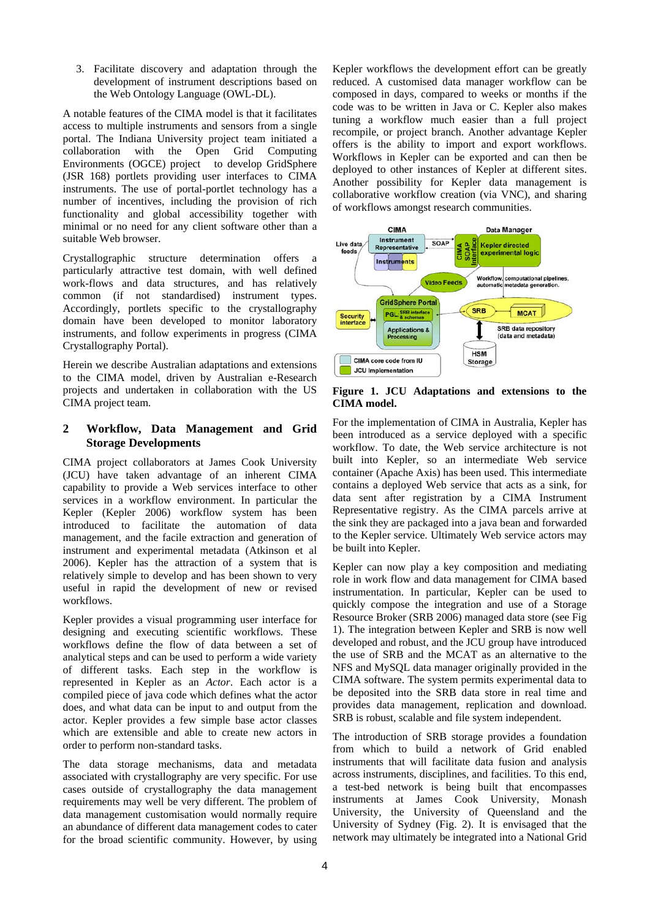3. Facilitate discovery and adaptation through the development of instrument descriptions based on the Web Ontology Language (OWL-DL).

A notable features of the CIMA model is that it facilitates access to multiple instruments and sensors from a single portal. The Indiana University project team initiated a collaboration with the Open Grid Computing Environments (OGCE) project to develop GridSphere (JSR 168) portlets providing user interfaces to CIMA instruments. The use of portal-portlet technology has a number of incentives, including the provision of rich functionality and global accessibility together with minimal or no need for any client software other than a suitable Web browser.

Crystallographic structure determination offers a particularly attractive test domain, with well defined work-flows and data structures, and has relatively common (if not standardised) instrument types. Accordingly, portlets specific to the crystallography domain have been developed to monitor laboratory instruments, and follow experiments in progress (CIMA Crystallography Portal).

Herein we describe Australian adaptations and extensions to the CIMA model, driven by Australian e-Research projects and undertaken in collaboration with the US CIMA project team.

# **2 Workflow, Data Management and Grid Storage Developments**

CIMA project collaborators at James Cook University (JCU) have taken advantage of an inherent CIMA capability to provide a Web services interface to other services in a workflow environment. In particular the Kepler (Kepler 2006) workflow system has been introduced to facilitate the automation of data management, and the facile extraction and generation of instrument and experimental metadata (Atkinson et al 2006). Kepler has the attraction of a system that is relatively simple to develop and has been shown to very useful in rapid the development of new or revised workflows.

Kepler provides a visual programming user interface for designing and executing scientific workflows. These workflows define the flow of data between a set of analytical steps and can be used to perform a wide variety of different tasks. Each step in the workflow is represented in Kepler as an *Actor*. Each actor is a compiled piece of java code which defines what the actor does, and what data can be input to and output from the actor. Kepler provides a few simple base actor classes which are extensible and able to create new actors in order to perform non-standard tasks.

The data storage mechanisms, data and metadata associated with crystallography are very specific. For use cases outside of crystallography the data management requirements may well be very different. The problem of data management customisation would normally require an abundance of different data management codes to cater for the broad scientific community. However, by using

Kepler workflows the development effort can be greatly reduced. A customised data manager workflow can be composed in days, compared to weeks or months if the code was to be written in Java or C. Kepler also makes tuning a workflow much easier than a full project recompile, or project branch. Another advantage Kepler offers is the ability to import and export workflows. Workflows in Kepler can be exported and can then be deployed to other instances of Kepler at different sites. Another possibility for Kepler data management is collaborative workflow creation (via VNC), and sharing of workflows amongst research communities.



**Figure 1. JCU Adaptations and extensions to the CIMA model.** 

For the implementation of CIMA in Australia, Kepler has been introduced as a service deployed with a specific workflow. To date, the Web service architecture is not built into Kepler, so an intermediate Web service container (Apache Axis) has been used. This intermediate contains a deployed Web service that acts as a sink, for data sent after registration by a CIMA Instrument Representative registry. As the CIMA parcels arrive at the sink they are packaged into a java bean and forwarded to the Kepler service. Ultimately Web service actors may be built into Kepler.

Kepler can now play a key composition and mediating role in work flow and data management for CIMA based instrumentation. In particular, Kepler can be used to quickly compose the integration and use of a Storage Resource Broker (SRB 2006) managed data store (see Fig 1). The integration between Kepler and SRB is now well developed and robust, and the JCU group have introduced the use of SRB and the MCAT as an alternative to the NFS and MySQL data manager originally provided in the CIMA software. The system permits experimental data to be deposited into the SRB data store in real time and provides data management, replication and download. SRB is robust, scalable and file system independent.

The introduction of SRB storage provides a foundation from which to build a network of Grid enabled instruments that will facilitate data fusion and analysis across instruments, disciplines, and facilities. To this end, a test-bed network is being built that encompasses instruments at James Cook University, Monash University, the University of Queensland and the University of Sydney (Fig. 2). It is envisaged that the network may ultimately be integrated into a National Grid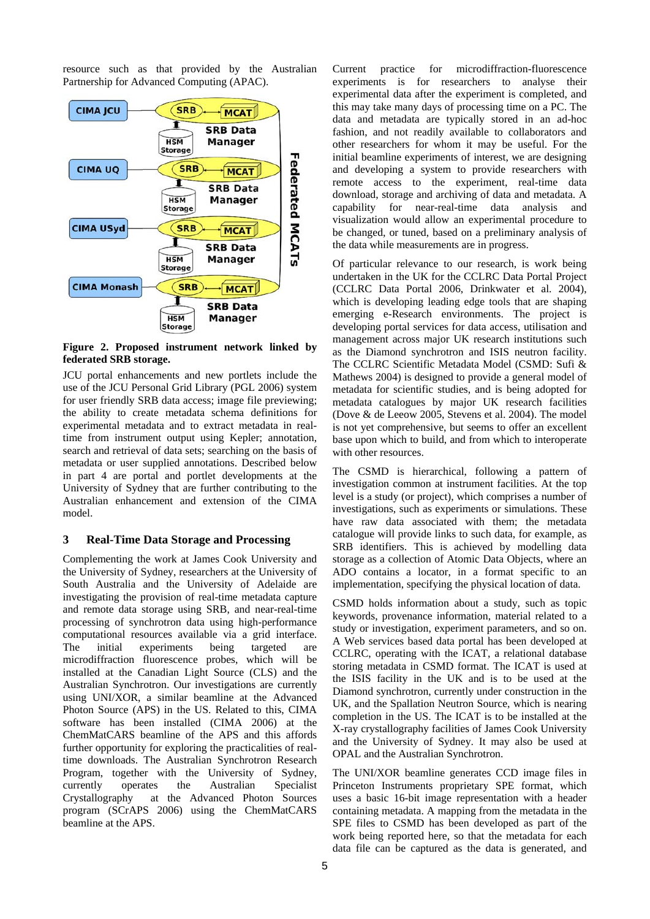resource such as that provided by the Australian Partnership for Advanced Computing (APAC).



**Figure 2. Proposed instrument network linked by federated SRB storage.** 

JCU portal enhancements and new portlets include the use of the JCU Personal Grid Library (PGL 2006) system for user friendly SRB data access; image file previewing; the ability to create metadata schema definitions for experimental metadata and to extract metadata in realtime from instrument output using Kepler; annotation, search and retrieval of data sets; searching on the basis of metadata or user supplied annotations. Described below in part 4 are portal and portlet developments at the University of Sydney that are further contributing to the Australian enhancement and extension of the CIMA model.

## **3 Real-Time Data Storage and Processing**

Complementing the work at James Cook University and the University of Sydney, researchers at the University of South Australia and the University of Adelaide are investigating the provision of real-time metadata capture and remote data storage using SRB, and near-real-time processing of synchrotron data using high-performance computational resources available via a grid interface. The initial experiments being targeted are microdiffraction fluorescence probes, which will be installed at the Canadian Light Source (CLS) and the Australian Synchrotron. Our investigations are currently using UNI/XOR, a similar beamline at the Advanced Photon Source (APS) in the US. Related to this, CIMA software has been installed (CIMA 2006) at the ChemMatCARS beamline of the APS and this affords further opportunity for exploring the practicalities of realtime downloads. The Australian Synchrotron Research Program, together with the University of Sydney, currently operates the Australian Specialist Crystallography at the Advanced Photon Sources program (SCrAPS 2006) using the ChemMatCARS beamline at the APS.

Current practice for microdiffraction-fluorescence experiments is for researchers to analyse their experimental data after the experiment is completed, and this may take many days of processing time on a PC. The data and metadata are typically stored in an ad-hoc fashion, and not readily available to collaborators and other researchers for whom it may be useful. For the initial beamline experiments of interest, we are designing and developing a system to provide researchers with remote access to the experiment, real-time data download, storage and archiving of data and metadata. A capability for near-real-time data analysis and visualization would allow an experimental procedure to be changed, or tuned, based on a preliminary analysis of the data while measurements are in progress.

Of particular relevance to our research, is work being undertaken in the UK for the CCLRC Data Portal Project (CCLRC Data Portal 2006, Drinkwater et al. 2004), which is developing leading edge tools that are shaping emerging e-Research environments. The project is developing portal services for data access, utilisation and management across major UK research institutions such as the Diamond synchrotron and ISIS neutron facility. The CCLRC Scientific Metadata Model (CSMD: Sufi & Mathews 2004) is designed to provide a general model of metadata for scientific studies, and is being adopted for metadata catalogues by major UK research facilities (Dove & de Leeow 2005, Stevens et al. 2004). The model is not yet comprehensive, but seems to offer an excellent base upon which to build, and from which to interoperate with other resources.

The CSMD is hierarchical, following a pattern of investigation common at instrument facilities. At the top level is a study (or project), which comprises a number of investigations, such as experiments or simulations. These have raw data associated with them; the metadata catalogue will provide links to such data, for example, as SRB identifiers. This is achieved by modelling data storage as a collection of Atomic Data Objects, where an ADO contains a locator, in a format specific to an implementation, specifying the physical location of data.

CSMD holds information about a study, such as topic keywords, provenance information, material related to a study or investigation, experiment parameters, and so on. A Web services based data portal has been developed at CCLRC, operating with the ICAT, a relational database storing metadata in CSMD format. The ICAT is used at the ISIS facility in the UK and is to be used at the Diamond synchrotron, currently under construction in the UK, and the Spallation Neutron Source, which is nearing completion in the US. The ICAT is to be installed at the X-ray crystallography facilities of James Cook University and the University of Sydney. It may also be used at OPAL and the Australian Synchrotron.

The UNI/XOR beamline generates CCD image files in Princeton Instruments proprietary SPE format, which uses a basic 16-bit image representation with a header containing metadata. A mapping from the metadata in the SPE files to CSMD has been developed as part of the work being reported here, so that the metadata for each data file can be captured as the data is generated, and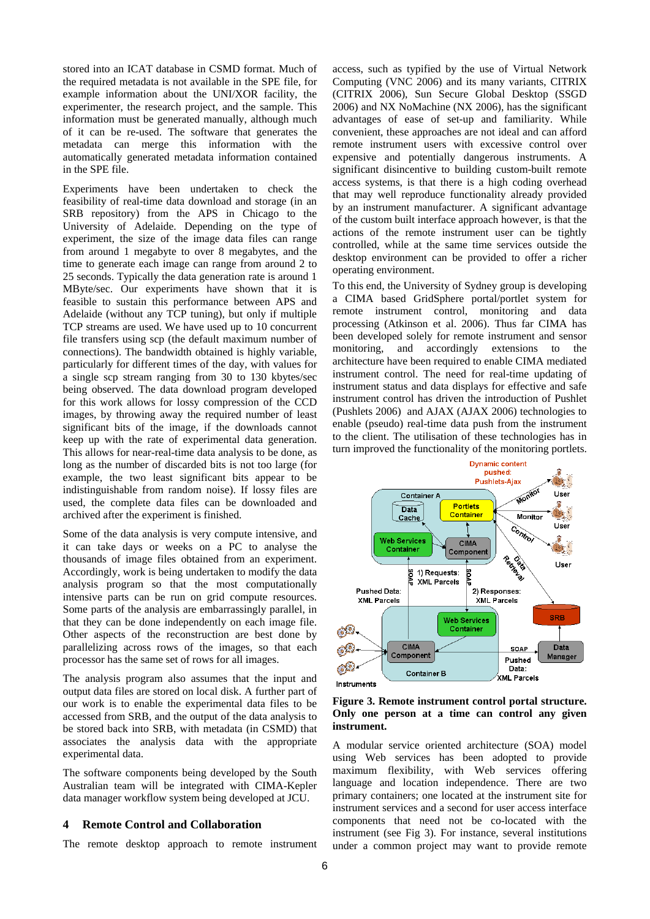stored into an ICAT database in CSMD format. Much of the required metadata is not available in the SPE file, for example information about the UNI/XOR facility, the experimenter, the research project, and the sample. This information must be generated manually, although much of it can be re-used. The software that generates the metadata can merge this information with the automatically generated metadata information contained in the SPE file.

Experiments have been undertaken to check the feasibility of real-time data download and storage (in an SRB repository) from the APS in Chicago to the University of Adelaide. Depending on the type of experiment, the size of the image data files can range from around 1 megabyte to over 8 megabytes, and the time to generate each image can range from around 2 to 25 seconds. Typically the data generation rate is around 1 MByte/sec. Our experiments have shown that it is feasible to sustain this performance between APS and Adelaide (without any TCP tuning), but only if multiple TCP streams are used. We have used up to 10 concurrent file transfers using scp (the default maximum number of connections). The bandwidth obtained is highly variable, particularly for different times of the day, with values for a single scp stream ranging from 30 to 130 kbytes/sec being observed. The data download program developed for this work allows for lossy compression of the CCD images, by throwing away the required number of least significant bits of the image, if the downloads cannot keep up with the rate of experimental data generation. This allows for near-real-time data analysis to be done, as long as the number of discarded bits is not too large (for example, the two least significant bits appear to be indistinguishable from random noise). If lossy files are used, the complete data files can be downloaded and archived after the experiment is finished.

Some of the data analysis is very compute intensive, and it can take days or weeks on a PC to analyse the thousands of image files obtained from an experiment. Accordingly, work is being undertaken to modify the data analysis program so that the most computationally intensive parts can be run on grid compute resources. Some parts of the analysis are embarrassingly parallel, in that they can be done independently on each image file. Other aspects of the reconstruction are best done by parallelizing across rows of the images, so that each processor has the same set of rows for all images.

The analysis program also assumes that the input and output data files are stored on local disk. A further part of our work is to enable the experimental data files to be accessed from SRB, and the output of the data analysis to be stored back into SRB, with metadata (in CSMD) that associates the analysis data with the appropriate experimental data.

The software components being developed by the South Australian team will be integrated with CIMA-Kepler data manager workflow system being developed at JCU.

## **4 Remote Control and Collaboration**

The remote desktop approach to remote instrument

access, such as typified by the use of Virtual Network Computing (VNC 2006) and its many variants, CITRIX (CITRIX 2006), Sun Secure Global Desktop (SSGD 2006) and NX NoMachine (NX 2006), has the significant advantages of ease of set-up and familiarity. While convenient, these approaches are not ideal and can afford remote instrument users with excessive control over expensive and potentially dangerous instruments. A significant disincentive to building custom-built remote access systems, is that there is a high coding overhead that may well reproduce functionality already provided by an instrument manufacturer. A significant advantage of the custom built interface approach however, is that the actions of the remote instrument user can be tightly controlled, while at the same time services outside the desktop environment can be provided to offer a richer operating environment.

To this end, the University of Sydney group is developing a CIMA based GridSphere portal/portlet system for remote instrument control, monitoring and data processing (Atkinson et al. 2006). Thus far CIMA has been developed solely for remote instrument and sensor monitoring, and accordingly extensions to the architecture have been required to enable CIMA mediated instrument control. The need for real-time updating of instrument status and data displays for effective and safe instrument control has driven the introduction of Pushlet (Pushlets 2006) and AJAX (AJAX 2006) technologies to enable (pseudo) real-time data push from the instrument to the client. The utilisation of these technologies has in turn improved the functionality of the monitoring portlets.



**Figure 3. Remote instrument control portal structure. Only one person at a time can control any given instrument.** 

A modular service oriented architecture (SOA) model using Web services has been adopted to provide maximum flexibility, with Web services offering language and location independence. There are two primary containers; one located at the instrument site for instrument services and a second for user access interface components that need not be co-located with the instrument (see Fig 3). For instance, several institutions under a common project may want to provide remote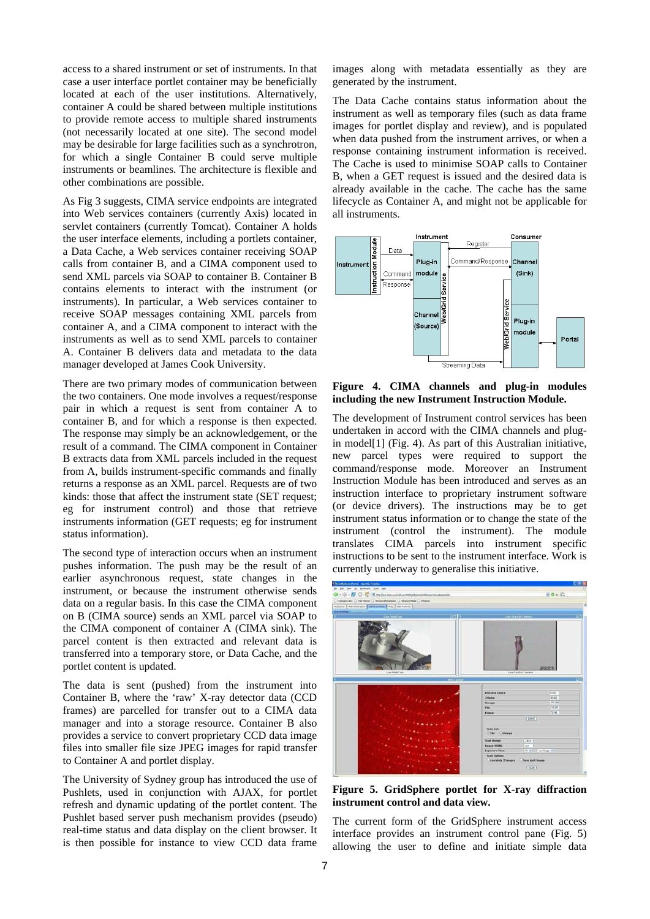access to a shared instrument or set of instruments. In that case a user interface portlet container may be beneficially located at each of the user institutions. Alternatively, container A could be shared between multiple institutions to provide remote access to multiple shared instruments (not necessarily located at one site). The second model may be desirable for large facilities such as a synchrotron, for which a single Container B could serve multiple instruments or beamlines. The architecture is flexible and other combinations are possible.

As Fig 3 suggests, CIMA service endpoints are integrated into Web services containers (currently Axis) located in servlet containers (currently Tomcat). Container A holds the user interface elements, including a portlets container, a Data Cache, a Web services container receiving SOAP calls from container B, and a CIMA component used to send XML parcels via SOAP to container B. Container B contains elements to interact with the instrument (or instruments). In particular, a Web services container to receive SOAP messages containing XML parcels from container A, and a CIMA component to interact with the instruments as well as to send XML parcels to container A. Container B delivers data and metadata to the data manager developed at James Cook University.

There are two primary modes of communication between the two containers. One mode involves a request/response pair in which a request is sent from container A to container B, and for which a response is then expected. The response may simply be an acknowledgement, or the result of a command. The CIMA component in Container B extracts data from XML parcels included in the request from A, builds instrument-specific commands and finally returns a response as an XML parcel. Requests are of two kinds: those that affect the instrument state (SET request; eg for instrument control) and those that retrieve instruments information (GET requests; eg for instrument status information).

The second type of interaction occurs when an instrument pushes information. The push may be the result of an earlier asynchronous request, state changes in the instrument, or because the instrument otherwise sends data on a regular basis. In this case the CIMA component on B (CIMA source) sends an XML parcel via SOAP to the CIMA component of container A (CIMA sink). The parcel content is then extracted and relevant data is transferred into a temporary store, or Data Cache, and the portlet content is updated.

The data is sent (pushed) from the instrument into Container B, where the 'raw' X-ray detector data (CCD frames) are parcelled for transfer out to a CIMA data manager and into a storage resource. Container B also provides a service to convert proprietary CCD data image files into smaller file size JPEG images for rapid transfer to Container A and portlet display.

The University of Sydney group has introduced the use of Pushlets, used in conjunction with AJAX, for portlet refresh and dynamic updating of the portlet content. The Pushlet based server push mechanism provides (pseudo) real-time status and data display on the client browser. It is then possible for instance to view CCD data frame images along with metadata essentially as they are generated by the instrument.

The Data Cache contains status information about the instrument as well as temporary files (such as data frame images for portlet display and review), and is populated when data pushed from the instrument arrives, or when a response containing instrument information is received. The Cache is used to minimise SOAP calls to Container B, when a GET request is issued and the desired data is already available in the cache. The cache has the same lifecycle as Container A, and might not be applicable for all instruments.



**Figure 4. CIMA channels and plug-in modules including the new Instrument Instruction Module.** 

The development of Instrument control services has been undertaken in accord with the CIMA channels and plugin model[1] (Fig. 4). As part of this Australian initiative, new parcel types were required to support the command/response mode. Moreover an Instrument Instruction Module has been introduced and serves as an instruction interface to proprietary instrument software (or device drivers). The instructions may be to get instrument status information or to change the state of the instrument (control the instrument). The module translates CIMA parcels into instrument specific instructions to be sent to the instrument interface. Work is currently underway to generalise this initiative.



**Figure 5. GridSphere portlet for X-ray diffraction instrument control and data view.** 

The current form of the GridSphere instrument access interface provides an instrument control pane (Fig. 5) allowing the user to define and initiate simple data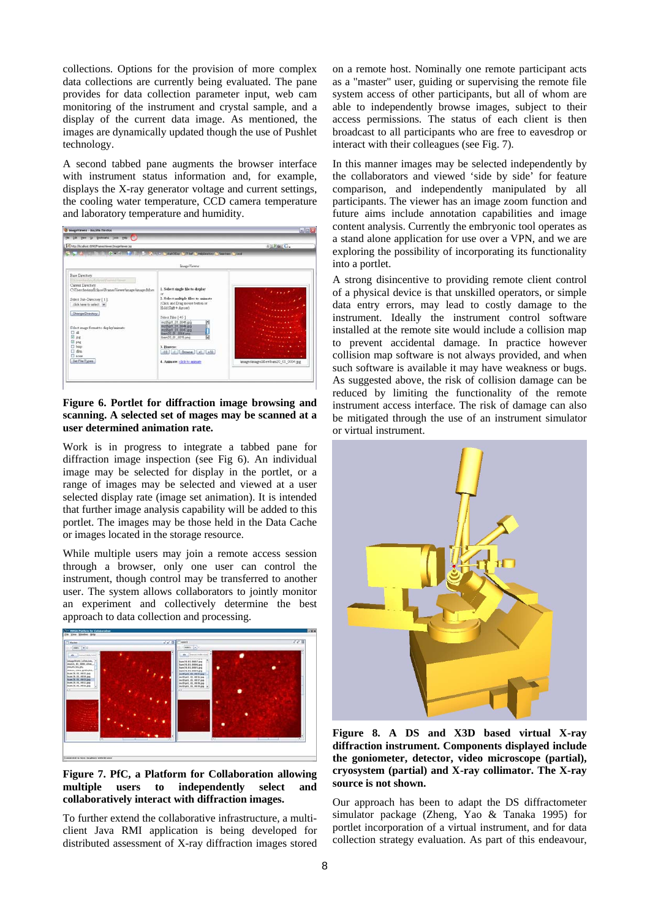collections. Options for the provision of more complex data collections are currently being evaluated. The pane provides for data collection parameter input, web cam monitoring of the instrument and crystal sample, and a display of the current data image. As mentioned, the images are dynamically updated though the use of Pushlet technology.

A second tabbed pane augments the browser interface with instrument status information and, for example, displays the X-ray generator voltage and current settings, the cooling water temperature, CCD camera temperature and laboratory temperature and humidity.



#### **Figure 6. Portlet for diffraction image browsing and scanning. A selected set of mages may be scanned at a user determined animation rate.**

Work is in progress to integrate a tabbed pane for diffraction image inspection (see Fig 6). An individual image may be selected for display in the portlet, or a range of images may be selected and viewed at a user selected display rate (image set animation). It is intended that further image analysis capability will be added to this portlet. The images may be those held in the Data Cache or images located in the storage resource.

While multiple users may join a remote access session through a browser, only one user can control the instrument, though control may be transferred to another user. The system allows collaborators to jointly monitor an experiment and collectively determine the best approach to data collection and processing.



**Figure 7. PfC, a Platform for Collaboration allowing multiple users to independently select and collaboratively interact with diffraction images.** 

To further extend the collaborative infrastructure, a multiclient Java RMI application is being developed for distributed assessment of X-ray diffraction images stored on a remote host. Nominally one remote participant acts as a "master" user, guiding or supervising the remote file system access of other participants, but all of whom are able to independently browse images, subject to their access permissions. The status of each client is then broadcast to all participants who are free to eavesdrop or interact with their colleagues (see Fig. 7).

In this manner images may be selected independently by the collaborators and viewed 'side by side' for feature comparison, and independently manipulated by all participants. The viewer has an image zoom function and future aims include annotation capabilities and image content analysis. Currently the embryonic tool operates as a stand alone application for use over a VPN, and we are exploring the possibility of incorporating its functionality into a portlet.

A strong disincentive to providing remote client control of a physical device is that unskilled operators, or simple data entry errors, may lead to costly damage to the instrument. Ideally the instrument control software installed at the remote site would include a collision map to prevent accidental damage. In practice however collision map software is not always provided, and when such software is available it may have weakness or bugs. As suggested above, the risk of collision damage can be reduced by limiting the functionality of the remote instrument access interface. The risk of damage can also be mitigated through the use of an instrument simulator or virtual instrument.



**Figure 8. A DS and X3D based virtual X-ray diffraction instrument. Components displayed include the goniometer, detector, video microscope (partial), cryosystem (partial) and X-ray collimator. The X-ray source is not shown.** 

Our approach has been to adapt the DS diffractometer simulator package (Zheng, Yao & Tanaka 1995) for portlet incorporation of a virtual instrument, and for data collection strategy evaluation. As part of this endeavour,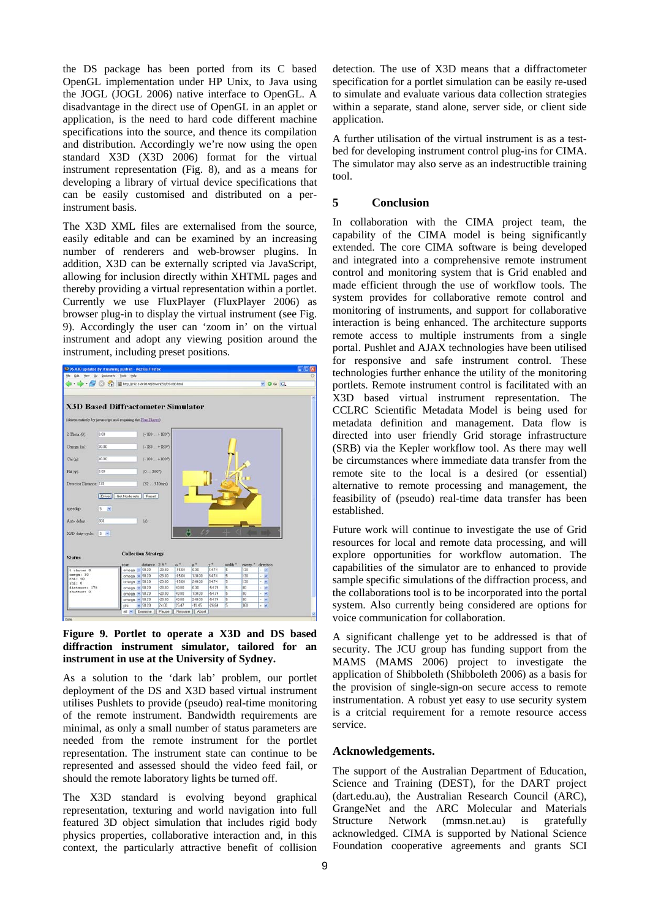the DS package has been ported from its C based OpenGL implementation under HP Unix, to Java using the JOGL (JOGL 2006) native interface to OpenGL. A disadvantage in the direct use of OpenGL in an applet or application, is the need to hard code different machine specifications into the source, and thence its compilation and distribution. Accordingly we're now using the open standard X3D (X3D 2006) format for the virtual instrument representation (Fig. 8), and as a means for developing a library of virtual device specifications that can be easily customised and distributed on a perinstrument basis.

The X3D XML files are externalised from the source, easily editable and can be examined by an increasing number of renderers and web-browser plugins. In addition, X3D can be externally scripted via JavaScript, allowing for inclusion directly within XHTML pages and thereby providing a virtual representation within a portlet. Currently we use FluxPlayer (FluxPlayer 2006) as browser plug-in to display the virtual instrument (see Fig. 9). Accordingly the user can 'zoom in' on the virtual instrument and adopt any viewing position around the instrument, including preset positions.



#### **Figure 9. Portlet to operate a X3D and DS based diffraction instrument simulator, tailored for an instrument in use at the University of Sydney.**

As a solution to the 'dark lab' problem, our portlet deployment of the DS and X3D based virtual instrument utilises Pushlets to provide (pseudo) real-time monitoring of the remote instrument. Bandwidth requirements are minimal, as only a small number of status parameters are needed from the remote instrument for the portlet representation. The instrument state can continue to be represented and assessed should the video feed fail, or should the remote laboratory lights be turned off.

The X3D standard is evolving beyond graphical representation, texturing and world navigation into full featured 3D object simulation that includes rigid body physics properties, collaborative interaction and, in this context, the particularly attractive benefit of collision detection. The use of X3D means that a diffractometer specification for a portlet simulation can be easily re-used to simulate and evaluate various data collection strategies within a separate, stand alone, server side, or client side application.

A further utilisation of the virtual instrument is as a testbed for developing instrument control plug-ins for CIMA. The simulator may also serve as an indestructible training tool.

## **5 Conclusion**

In collaboration with the CIMA project team, the capability of the CIMA model is being significantly extended. The core CIMA software is being developed and integrated into a comprehensive remote instrument control and monitoring system that is Grid enabled and made efficient through the use of workflow tools. The system provides for collaborative remote control and monitoring of instruments, and support for collaborative interaction is being enhanced. The architecture supports remote access to multiple instruments from a single portal. Pushlet and AJAX technologies have been utilised for responsive and safe instrument control. These technologies further enhance the utility of the monitoring portlets. Remote instrument control is facilitated with an X3D based virtual instrument representation. The CCLRC Scientific Metadata Model is being used for metadata definition and management. Data flow is directed into user friendly Grid storage infrastructure (SRB) via the Kepler workflow tool. As there may well be circumstances where immediate data transfer from the remote site to the local is a desired (or essential) alternative to remote processing and management, the feasibility of (pseudo) real-time data transfer has been established.

Future work will continue to investigate the use of Grid resources for local and remote data processing, and will explore opportunities for workflow automation. The capabilities of the simulator are to enhanced to provide sample specific simulations of the diffraction process, and the collaborations tool is to be incorporated into the portal system. Also currently being considered are options for voice communication for collaboration.

A significant challenge yet to be addressed is that of security. The JCU group has funding support from the MAMS (MAMS 2006) project to investigate the application of Shibboleth (Shibboleth 2006) as a basis for the provision of single-sign-on secure access to remote instrumentation. A robust yet easy to use security system is a critcial requirement for a remote resource access service.

## **Acknowledgements.**

The support of the Australian Department of Education, Science and Training (DEST), for the DART project (dart.edu.au), the Australian Research Council (ARC), GrangeNet and the ARC Molecular and Materials Structure Network (mmsn.net.au) is gratefully acknowledged. CIMA is supported by National Science Foundation cooperative agreements and grants SCI